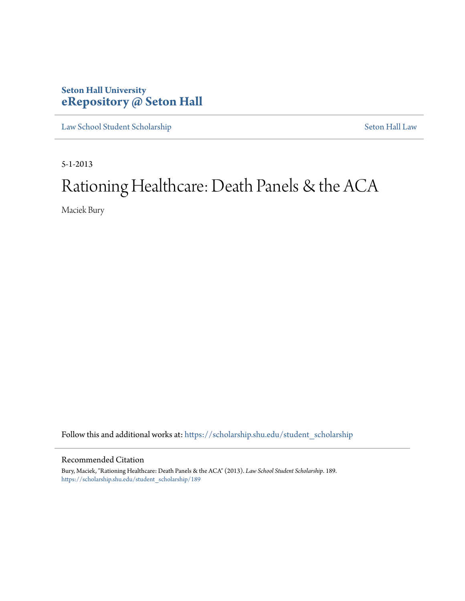# **Seton Hall University [eRepository @ Seton Hall](https://scholarship.shu.edu?utm_source=scholarship.shu.edu%2Fstudent_scholarship%2F189&utm_medium=PDF&utm_campaign=PDFCoverPages)**

[Law School Student Scholarship](https://scholarship.shu.edu/student_scholarship?utm_source=scholarship.shu.edu%2Fstudent_scholarship%2F189&utm_medium=PDF&utm_campaign=PDFCoverPages) [Seton Hall Law](https://scholarship.shu.edu/law?utm_source=scholarship.shu.edu%2Fstudent_scholarship%2F189&utm_medium=PDF&utm_campaign=PDFCoverPages)

5-1-2013

# Rationing Healthcare: Death Panels & the ACA

Maciek Bury

Follow this and additional works at: [https://scholarship.shu.edu/student\\_scholarship](https://scholarship.shu.edu/student_scholarship?utm_source=scholarship.shu.edu%2Fstudent_scholarship%2F189&utm_medium=PDF&utm_campaign=PDFCoverPages)

#### Recommended Citation

Bury, Maciek, "Rationing Healthcare: Death Panels & the ACA" (2013). *Law School Student Scholarship*. 189. [https://scholarship.shu.edu/student\\_scholarship/189](https://scholarship.shu.edu/student_scholarship/189?utm_source=scholarship.shu.edu%2Fstudent_scholarship%2F189&utm_medium=PDF&utm_campaign=PDFCoverPages)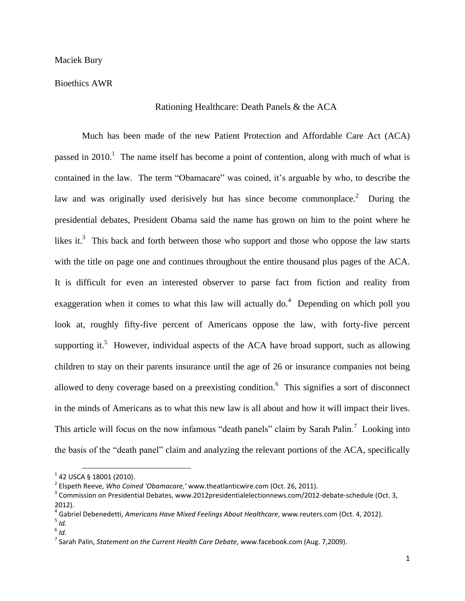Bioethics AWR

#### Rationing Healthcare: Death Panels & the ACA

Much has been made of the new Patient Protection and Affordable Care Act (ACA) passed in 2010.<sup>1</sup> The name itself has become a point of contention, along with much of what is contained in the law. The term "Obamacare" was coined, it's arguable by who, to describe the law and was originally used derisively but has since become commonplace.<sup>2</sup> During the presidential debates, President Obama said the name has grown on him to the point where he likes it.<sup>3</sup> This back and forth between those who support and those who oppose the law starts with the title on page one and continues throughout the entire thousand plus pages of the ACA. It is difficult for even an interested observer to parse fact from fiction and reality from exaggeration when it comes to what this law will actually  $do.<sup>4</sup>$  Depending on which poll you look at, roughly fifty-five percent of Americans oppose the law, with forty-five percent supporting it.<sup>5</sup> However, individual aspects of the ACA have broad support, such as allowing children to stay on their parents insurance until the age of 26 or insurance companies not being allowed to deny coverage based on a preexisting condition.<sup>6</sup> This signifies a sort of disconnect in the minds of Americans as to what this new law is all about and how it will impact their lives. This article will focus on the now infamous "death panels" claim by Sarah Palin.<sup>7</sup> Looking into the basis of the "death panel" claim and analyzing the relevant portions of the ACA, specifically

 $\overline{a}$ 

 $1$  42 USCA § 18001 (2010).

<sup>2</sup> Elspeth Reeve, *Who Coined 'Obamacare,'* www.theatlanticwire.com (Oct. 26, 2011).

 $^3$  Commission on Presidential Debates, www.2012presidentialelectionnews.com/2012-debate-schedule (Oct. 3, 2012).

<sup>4</sup> Gabriel Debenedetti, *Americans Have Mixed Feelings About Healthcare*, www.reuters.com (Oct. 4, 2012).

<sup>5</sup> *Id.*

<sup>6</sup> *Id.*

<sup>7</sup> Sarah Palin, *Statement on the Current Health Care Debate*, www.facebook.com (Aug. 7,2009).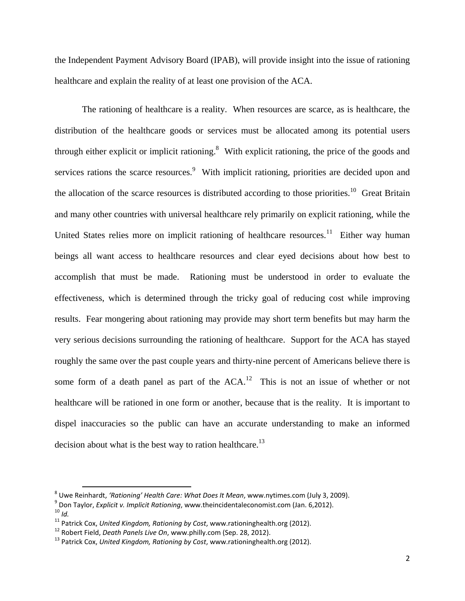the Independent Payment Advisory Board (IPAB), will provide insight into the issue of rationing healthcare and explain the reality of at least one provision of the ACA.

The rationing of healthcare is a reality. When resources are scarce, as is healthcare, the distribution of the healthcare goods or services must be allocated among its potential users through either explicit or implicit rationing.<sup>8</sup> With explicit rationing, the price of the goods and services rations the scarce resources.<sup>9</sup> With implicit rationing, priorities are decided upon and the allocation of the scarce resources is distributed according to those priorities.<sup>10</sup> Great Britain and many other countries with universal healthcare rely primarily on explicit rationing, while the United States relies more on implicit rationing of healthcare resources.<sup>11</sup> Either way human beings all want access to healthcare resources and clear eyed decisions about how best to accomplish that must be made. Rationing must be understood in order to evaluate the effectiveness, which is determined through the tricky goal of reducing cost while improving results. Fear mongering about rationing may provide may short term benefits but may harm the very serious decisions surrounding the rationing of healthcare. Support for the ACA has stayed roughly the same over the past couple years and thirty-nine percent of Americans believe there is some form of a death panel as part of the  $ACA$ .<sup>12</sup> This is not an issue of whether or not healthcare will be rationed in one form or another, because that is the reality. It is important to dispel inaccuracies so the public can have an accurate understanding to make an informed decision about what is the best way to ration healthcare.<sup>13</sup>

l

<sup>8</sup> Uwe Reinhardt, *'Rationing' Health Care: What Does It Mean*, www.nytimes.com (July 3, 2009).

<sup>9</sup> Don Taylor, *Explicit v. Implicit Rationing*, www.theincidentaleconomist.com (Jan. 6,2012). <sup>10</sup> *Id.*

<sup>11</sup> Patrick Cox, *United Kingdom, Rationing by Cost*, www.rationinghealth.org (2012).

<sup>12</sup> Robert Field, *Death Panels Live On*, www.philly.com (Sep. 28, 2012).

<sup>13</sup> Patrick Cox, *United Kingdom, Rationing by Cost*, www.rationinghealth.org (2012).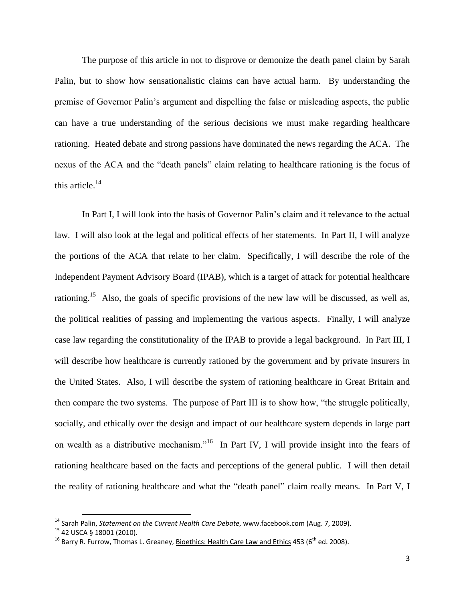The purpose of this article in not to disprove or demonize the death panel claim by Sarah Palin, but to show how sensationalistic claims can have actual harm. By understanding the premise of Governor Palin's argument and dispelling the false or misleading aspects, the public can have a true understanding of the serious decisions we must make regarding healthcare rationing. Heated debate and strong passions have dominated the news regarding the ACA. The nexus of the ACA and the "death panels" claim relating to healthcare rationing is the focus of this article.<sup>14</sup>

In Part I, I will look into the basis of Governor Palin's claim and it relevance to the actual law. I will also look at the legal and political effects of her statements. In Part II, I will analyze the portions of the ACA that relate to her claim. Specifically, I will describe the role of the Independent Payment Advisory Board (IPAB), which is a target of attack for potential healthcare rationing.<sup>15</sup> Also, the goals of specific provisions of the new law will be discussed, as well as, the political realities of passing and implementing the various aspects. Finally, I will analyze case law regarding the constitutionality of the IPAB to provide a legal background. In Part III, I will describe how healthcare is currently rationed by the government and by private insurers in the United States. Also, I will describe the system of rationing healthcare in Great Britain and then compare the two systems. The purpose of Part III is to show how, "the struggle politically, socially, and ethically over the design and impact of our healthcare system depends in large part on wealth as a distributive mechanism."<sup>16</sup> In Part IV, I will provide insight into the fears of rationing healthcare based on the facts and perceptions of the general public. I will then detail the reality of rationing healthcare and what the "death panel" claim really means. In Part V, I

<sup>14</sup> Sarah Palin, *Statement on the Current Health Care Debate*, www.facebook.com (Aug. 7, 2009).

<sup>15</sup> 42 USCA § 18001 (2010).

<sup>&</sup>lt;sup>16</sup> Barry R. Furrow, Thomas L. Greaney, Bioethics: Health Care Law and Ethics 453 (6<sup>th</sup> ed. 2008).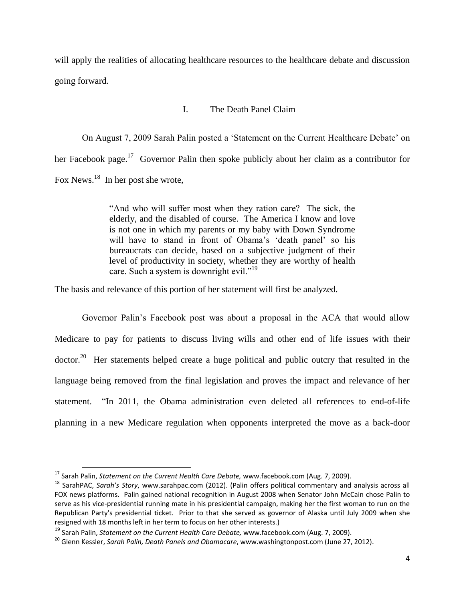will apply the realities of allocating healthcare resources to the healthcare debate and discussion going forward.

## I. The Death Panel Claim

On August 7, 2009 Sarah Palin posted a 'Statement on the Current Healthcare Debate' on her Facebook page.<sup>17</sup> Governor Palin then spoke publicly about her claim as a contributor for Fox News.<sup>18</sup> In her post she wrote,

> "And who will suffer most when they ration care? The sick, the elderly, and the disabled of course. The America I know and love is not one in which my parents or my baby with Down Syndrome will have to stand in front of Obama's 'death panel' so his bureaucrats can decide, based on a subjective judgment of their level of productivity in society, whether they are worthy of health care. Such a system is downright evil."<sup>19</sup>

The basis and relevance of this portion of her statement will first be analyzed.

Governor Palin's Facebook post was about a proposal in the ACA that would allow Medicare to pay for patients to discuss living wills and other end of life issues with their doctor.<sup>20</sup> Her statements helped create a huge political and public outcry that resulted in the language being removed from the final legislation and proves the impact and relevance of her statement. "In 2011, the Obama administration even deleted all references to end-of-life planning in a new Medicare regulation when opponents interpreted the move as a back-door

<sup>17</sup> Sarah Palin, *Statement on the Current Health Care Debate,* www.facebook.com (Aug. 7, 2009).

<sup>18</sup> SarahPAC, *Sarah's Story*, www.sarahpac.com (2012). (Palin offers political commentary and analysis across all FOX news platforms. Palin gained national recognition in August 2008 when Senator John McCain chose Palin to serve as his vice-presidential running mate in his presidential campaign, making her the first woman to run on the Republican Party's presidential ticket. Prior to that she served as governor of Alaska until July 2009 when she resigned with 18 months left in her term to focus on her other interests.)

<sup>19</sup> Sarah Palin, *Statement on the Current Health Care Debate,* www.facebook.com (Aug. 7, 2009).

<sup>20</sup> Glenn Kessler, *Sarah Palin, Death Panels and Obamacare*, www.washingtonpost.com (June 27, 2012).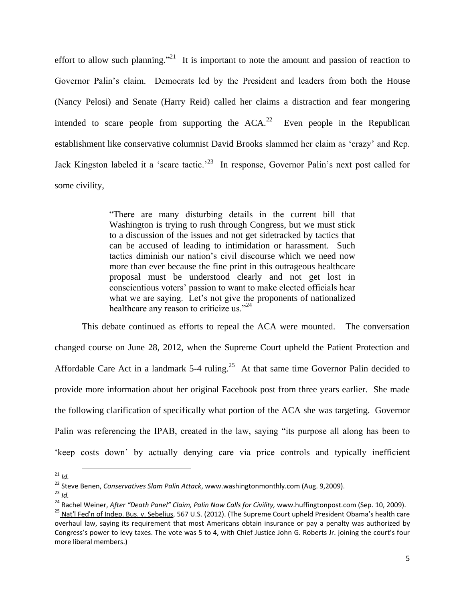effort to allow such planning.<sup>"21</sup> It is important to note the amount and passion of reaction to Governor Palin's claim. Democrats led by the President and leaders from both the House (Nancy Pelosi) and Senate (Harry Reid) called her claims a distraction and fear mongering intended to scare people from supporting the  $ACA<sup>22</sup>$  Even people in the Republican establishment like conservative columnist David Brooks slammed her claim as 'crazy' and Rep. Jack Kingston labeled it a 'scare tactic.<sup>23</sup> In response, Governor Palin's next post called for some civility,

> "There are many disturbing details in the current bill that Washington is trying to rush through Congress, but we must stick to a discussion of the issues and not get sidetracked by tactics that can be accused of leading to intimidation or harassment. Such tactics diminish our nation's civil discourse which we need now more than ever because the fine print in this outrageous healthcare proposal must be understood clearly and not get lost in conscientious voters' passion to want to make elected officials hear what we are saying. Let's not give the proponents of nationalized healthcare any reason to criticize us."<sup>24</sup>

This debate continued as efforts to repeal the ACA were mounted. The conversation changed course on June 28, 2012, when the Supreme Court upheld the Patient Protection and Affordable Care Act in a landmark  $5-4$  ruling.<sup>25</sup> At that same time Governor Palin decided to provide more information about her original Facebook post from three years earlier. She made the following clarification of specifically what portion of the ACA she was targeting. Governor Palin was referencing the IPAB, created in the law, saying "its purpose all along has been to 'keep costs down' by actually denying care via price controls and typically inefficient

 $\overline{a}$ 

 $^{23}$  *Id.* 

 $21$  *Id.* 

<sup>22</sup> Steve Benen, *Conservatives Slam Palin Attack*, www.washingtonmonthly.com (Aug. 9,2009).

<sup>&</sup>lt;sup>24</sup> Rachel Weiner, *After "Death Panel" Claim, Palin Now Calls for Civility, www.huffingtonpost.com (Sep. 10, 2009).* 

<sup>&</sup>lt;sup>25</sup> Nat'l Fed'n of Indep. Bus. v. Sebelius, 567 U.S. (2012). (The Supreme Court upheld President Obama's health care overhaul law, saying its requirement that most Americans obtain insurance or pay a penalty was authorized by Congress's power to levy taxes. The vote was 5 to 4, with Chief Justice John G. Roberts Jr. joining the court's four more liberal members.)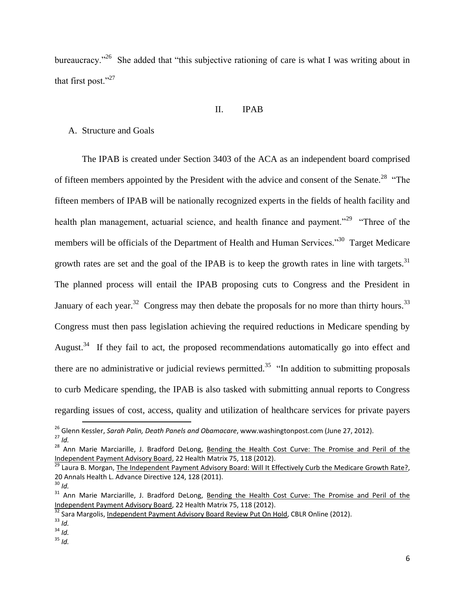bureaucracy."<sup>26</sup> She added that "this subjective rationing of care is what I was writing about in that first post."<sup>27</sup>

#### II. IPAB

# A. Structure and Goals

The IPAB is created under Section 3403 of the ACA as an independent board comprised of fifteen members appointed by the President with the advice and consent of the Senate.<sup>28</sup> "The fifteen members of IPAB will be nationally recognized experts in the fields of health facility and health plan management, actuarial science, and health finance and payment."<sup>29</sup> "Three of the members will be officials of the Department of Health and Human Services."<sup>30</sup> Target Medicare growth rates are set and the goal of the IPAB is to keep the growth rates in line with targets. $31$ The planned process will entail the IPAB proposing cuts to Congress and the President in January of each year.<sup>32</sup> Congress may then debate the proposals for no more than thirty hours.<sup>33</sup> Congress must then pass legislation achieving the required reductions in Medicare spending by August.<sup>34</sup> If they fail to act, the proposed recommendations automatically go into effect and there are no administrative or judicial reviews permitted.<sup>35</sup> "In addition to submitting proposals to curb Medicare spending, the IPAB is also tasked with submitting annual reports to Congress regarding issues of cost, access, quality and utilization of healthcare services for private payers

l

<sup>26</sup> Glenn Kessler, *Sarah Palin, Death Panels and Obamacare*, www.washingtonpost.com (June 27, 2012). <sup>27</sup> *Id.*

<sup>&</sup>lt;sup>28</sup> Ann Marie Marciarille, J. Bradford DeLong, Bending the Health Cost Curve: The Promise and Peril of the Independent Payment Advisory Board, 22 Health Matrix 75, 118 (2012).

<sup>&</sup>lt;sup>29</sup> Laura B. Morgan, The Independent Payment Advisory Board: Will It Effectively Curb the Medicare Growth Rate?, 20 Annals Health L. Advance Directive 124, 128 (2011).

<sup>30</sup> *Id.*

<sup>&</sup>lt;sup>31</sup> Ann Marie Marciarille, J. Bradford DeLong, Bending the Health Cost Curve: The Promise and Peril of the Independent Payment Advisory Board, 22 Health Matrix 75, 118 (2012).

<sup>32</sup> Sara Margolis, Independent Payment Advisory Board Review Put On Hold, CBLR Online (2012).

<sup>33</sup> *Id.*

<sup>34</sup> *Id.*

<sup>35</sup> *Id.*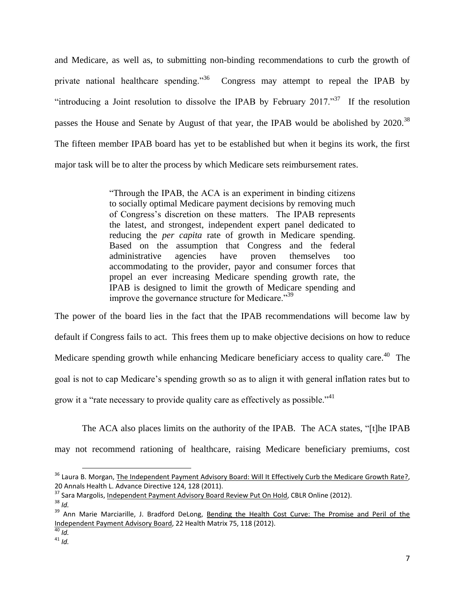and Medicare, as well as, to submitting non-binding recommendations to curb the growth of private national healthcare spending."<sup>36</sup> Congress may attempt to repeal the IPAB by "introducing a Joint resolution to dissolve the IPAB by February 2017."<sup>37</sup> If the resolution passes the House and Senate by August of that year, the IPAB would be abolished by 2020.<sup>38</sup> The fifteen member IPAB board has yet to be established but when it begins its work, the first major task will be to alter the process by which Medicare sets reimbursement rates.

> "Through the IPAB, the ACA is an experiment in binding citizens to socially optimal Medicare payment decisions by removing much of Congress's discretion on these matters. The IPAB represents the latest, and strongest, independent expert panel dedicated to reducing the *per capita* rate of growth in Medicare spending. Based on the assumption that Congress and the federal administrative agencies have proven themselves too accommodating to the provider, payor and consumer forces that propel an ever increasing Medicare spending growth rate, the IPAB is designed to limit the growth of Medicare spending and improve the governance structure for Medicare."<sup>39</sup>

The power of the board lies in the fact that the IPAB recommendations will become law by default if Congress fails to act. This frees them up to make objective decisions on how to reduce Medicare spending growth while enhancing Medicare beneficiary access to quality care.<sup>40</sup> The goal is not to cap Medicare's spending growth so as to align it with general inflation rates but to grow it a "rate necessary to provide quality care as effectively as possible."<sup>41</sup>

The ACA also places limits on the authority of the IPAB. The ACA states, "[t]he IPAB may not recommend rationing of healthcare, raising Medicare beneficiary premiums, cost

 $\overline{a}$ 

 $\overline{40}$  *Id.* 

<sup>&</sup>lt;sup>36</sup> Laura B. Morgan, <u>The Independent Payment Advisory Board: Will It Effectively Curb the Medicare Growth Rate?,</u> 20 Annals Health L. Advance Directive 124, 128 (2011).

<sup>37</sup> Sara Margolis, Independent Payment Advisory Board Review Put On Hold, CBLR Online (2012).

<sup>38</sup> *Id.*

<sup>&</sup>lt;sup>39</sup> Ann Marie Marciarille, J. Bradford DeLong, Bending the Health Cost Curve: The Promise and Peril of the Independent Payment Advisory Board, 22 Health Matrix 75, 118 (2012).

<sup>41</sup> *Id.*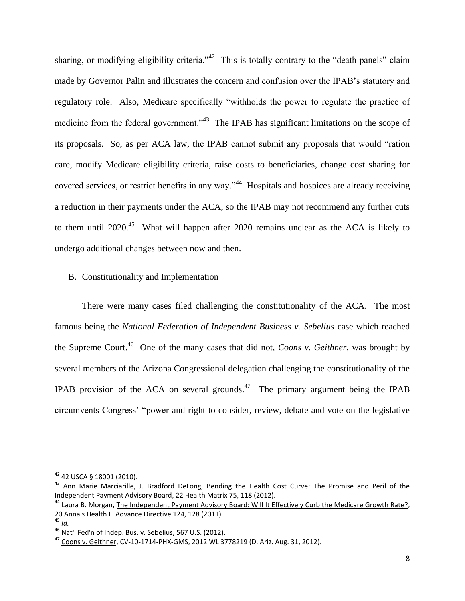sharing, or modifying eligibility criteria.<sup> $342$ </sup> This is totally contrary to the "death panels" claim made by Governor Palin and illustrates the concern and confusion over the IPAB's statutory and regulatory role. Also, Medicare specifically "withholds the power to regulate the practice of medicine from the federal government."<sup>43</sup> The IPAB has significant limitations on the scope of its proposals. So, as per ACA law, the IPAB cannot submit any proposals that would "ration care, modify Medicare eligibility criteria, raise costs to beneficiaries, change cost sharing for covered services, or restrict benefits in any way."<sup>44</sup> Hospitals and hospices are already receiving a reduction in their payments under the ACA, so the IPAB may not recommend any further cuts to them until  $2020$ <sup>45</sup> What will happen after 2020 remains unclear as the ACA is likely to undergo additional changes between now and then.

# B. Constitutionality and Implementation

There were many cases filed challenging the constitutionality of the ACA. The most famous being the *National Federation of Independent Business v. Sebelius* case which reached the Supreme Court.<sup>46</sup> One of the many cases that did not, *Coons v. Geithner*, was brought by several members of the Arizona Congressional delegation challenging the constitutionality of the IPAB provision of the ACA on several grounds.<sup>47</sup> The primary argument being the IPAB circumvents Congress' "power and right to consider, review, debate and vote on the legislative

 $\overline{a}$ 

<sup>&</sup>lt;sup>42</sup> 42 USCA § 18001 (2010).

<sup>&</sup>lt;sup>43</sup> Ann Marie Marciarille, J. Bradford DeLong, Bending the Health Cost Curve: The Promise and Peril of the Independent Payment Advisory Board, 22 Health Matrix 75, 118 (2012).

<sup>&</sup>lt;sup>44</sup> Laura B. Morgan, The Independent Payment Advisory Board: Will It Effectively Curb the Medicare Growth Rate?, 20 Annals Health L. Advance Directive 124, 128 (2011).

<sup>45</sup> *Id.*

<sup>46</sup> Nat'l Fed'n of Indep. Bus. v. Sebelius, 567 U.S. (2012).

<sup>47</sup> Coons v. Geithner, CV-10-1714-PHX-GMS, 2012 WL 3778219 (D. Ariz. Aug. 31, 2012).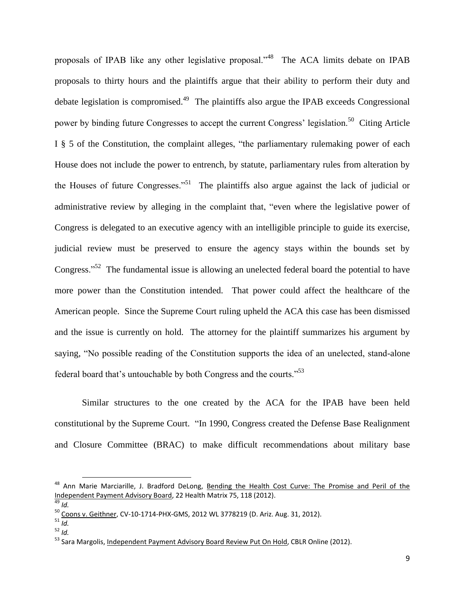proposals of IPAB like any other legislative proposal."<sup>48</sup> The ACA limits debate on IPAB proposals to thirty hours and the plaintiffs argue that their ability to perform their duty and debate legislation is compromised.<sup>49</sup> The plaintiffs also argue the IPAB exceeds Congressional power by binding future Congresses to accept the current Congress' legislation.<sup>50</sup> Citing Article I § 5 of the Constitution, the complaint alleges, "the parliamentary rulemaking power of each House does not include the power to entrench, by statute, parliamentary rules from alteration by the Houses of future Congresses."<sup>51</sup> The plaintiffs also argue against the lack of judicial or administrative review by alleging in the complaint that, "even where the legislative power of Congress is delegated to an executive agency with an intelligible principle to guide its exercise, judicial review must be preserved to ensure the agency stays within the bounds set by Congress."<sup>52</sup> The fundamental issue is allowing an unelected federal board the potential to have more power than the Constitution intended. That power could affect the healthcare of the American people. Since the Supreme Court ruling upheld the ACA this case has been dismissed and the issue is currently on hold. The attorney for the plaintiff summarizes his argument by saying, "No possible reading of the Constitution supports the idea of an unelected, stand-alone federal board that's untouchable by both Congress and the courts."<sup>53</sup>

Similar structures to the one created by the ACA for the IPAB have been held constitutional by the Supreme Court. "In 1990, Congress created the Defense Base Realignment and Closure Committee (BRAC) to make difficult recommendations about military base

<sup>&</sup>lt;sup>48</sup> Ann Marie Marciarille, J. Bradford DeLong, Bending the Health Cost Curve: The Promise and Peril of the Independent Payment Advisory Board, 22 Health Matrix 75, 118 (2012).

 $\overline{49}$  *Id.* 

<sup>&</sup>lt;sup>50</sup> <u>Coons v. Geithner</u>, CV-10-1714-PHX-GMS, 2012 WL 3778219 (D. Ariz. Aug. 31, 2012).

<sup>51</sup> *Id.*

<sup>52</sup> *Id.*

<sup>&</sup>lt;sup>53</sup> Sara Margolis, Independent Payment Advisory Board Review Put On Hold, CBLR Online (2012).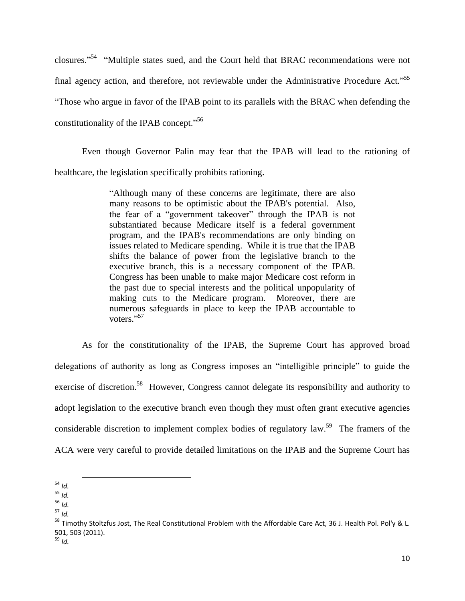closures."<sup>54</sup> "Multiple states sued, and the Court held that BRAC recommendations were not final agency action, and therefore, not reviewable under the Administrative Procedure Act."<sup>55</sup> "Those who argue in favor of the IPAB point to its parallels with the BRAC when defending the constitutionality of the IPAB concept."<sup>56</sup>

Even though Governor Palin may fear that the IPAB will lead to the rationing of healthcare, the legislation specifically prohibits rationing.

> "Although many of these concerns are legitimate, there are also many reasons to be optimistic about the IPAB's potential. Also, the fear of a "government takeover" through the IPAB is not substantiated because Medicare itself is a federal government program, and the IPAB's recommendations are only binding on issues related to Medicare spending. While it is true that the IPAB shifts the balance of power from the legislative branch to the executive branch, this is a necessary component of the IPAB. Congress has been unable to make major Medicare cost reform in the past due to special interests and the political unpopularity of making cuts to the Medicare program. Moreover, there are numerous safeguards in place to keep the IPAB accountable to voters."<sup>57</sup>

As for the constitutionality of the IPAB, the Supreme Court has approved broad delegations of authority as long as Congress imposes an "intelligible principle" to guide the exercise of discretion.<sup>58</sup> However, Congress cannot delegate its responsibility and authority to adopt legislation to the executive branch even though they must often grant executive agencies considerable discretion to implement complex bodies of regulatory law.<sup>59</sup> The framers of the ACA were very careful to provide detailed limitations on the IPAB and the Supreme Court has

<sup>54</sup> *Id.*

<sup>55</sup> *Id.*

<sup>56</sup> *Id.*

<sup>57</sup> *Id.*

<sup>&</sup>lt;sup>58</sup> Timothy Stoltzfus Jost, The Real Constitutional Problem with the Affordable Care Act, 36 J. Health Pol. Pol'y & L. 501, 503 (2011). <sup>59</sup> *Id.*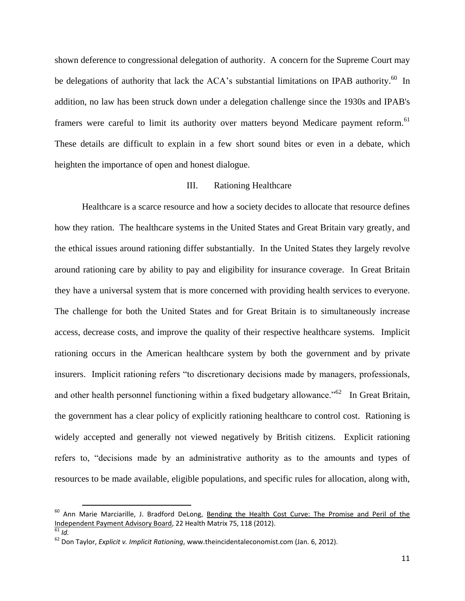shown deference to congressional delegation of authority. A concern for the Supreme Court may be delegations of authority that lack the  $ACA$ 's substantial limitations on IPAB authority.<sup>60</sup> In addition, no law has been struck down under a delegation challenge since the 1930s and IPAB's framers were careful to limit its authority over matters beyond Medicare payment reform.<sup>61</sup> These details are difficult to explain in a few short sound bites or even in a debate, which heighten the importance of open and honest dialogue.

#### III. Rationing Healthcare

Healthcare is a scarce resource and how a society decides to allocate that resource defines how they ration. The healthcare systems in the United States and Great Britain vary greatly, and the ethical issues around rationing differ substantially. In the United States they largely revolve around rationing care by ability to pay and eligibility for insurance coverage. In Great Britain they have a universal system that is more concerned with providing health services to everyone. The challenge for both the United States and for Great Britain is to simultaneously increase access, decrease costs, and improve the quality of their respective healthcare systems. Implicit rationing occurs in the American healthcare system by both the government and by private insurers. Implicit rationing refers "to discretionary decisions made by managers, professionals, and other health personnel functioning within a fixed budgetary allowance.<sup> $562$ </sup> In Great Britain, the government has a clear policy of explicitly rationing healthcare to control cost. Rationing is widely accepted and generally not viewed negatively by British citizens. Explicit rationing refers to, "decisions made by an administrative authority as to the amounts and types of resources to be made available, eligible populations, and specific rules for allocation, along with,

 $\overline{a}$ 

<sup>&</sup>lt;sup>60</sup> Ann Marie Marciarille, J. Bradford DeLong, <u>Bending the Health Cost Curve: The Promise and Peril of the</u> Independent Payment Advisory Board, 22 Health Matrix 75, 118 (2012).

 $\overline{61}$  *Id.* 

<sup>62</sup> Don Taylor, *Explicit v. Implicit Rationing*, www.theincidentaleconomist.com (Jan. 6, 2012).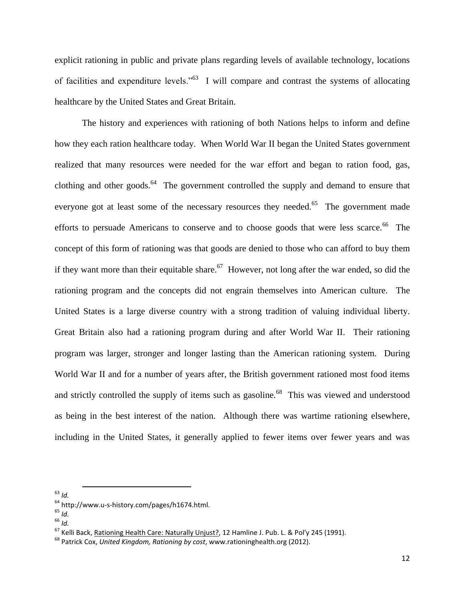explicit rationing in public and private plans regarding levels of available technology, locations of facilities and expenditure levels."<sup>63</sup> I will compare and contrast the systems of allocating healthcare by the United States and Great Britain.

The history and experiences with rationing of both Nations helps to inform and define how they each ration healthcare today. When World War II began the United States government realized that many resources were needed for the war effort and began to ration food, gas, clothing and other goods. $64$  The government controlled the supply and demand to ensure that everyone got at least some of the necessary resources they needed.<sup>65</sup> The government made efforts to persuade Americans to conserve and to choose goods that were less scarce.<sup>66</sup> The concept of this form of rationing was that goods are denied to those who can afford to buy them if they want more than their equitable share.<sup>67</sup> However, not long after the war ended, so did the rationing program and the concepts did not engrain themselves into American culture. The United States is a large diverse country with a strong tradition of valuing individual liberty. Great Britain also had a rationing program during and after World War II. Their rationing program was larger, stronger and longer lasting than the American rationing system. During World War II and for a number of years after, the British government rationed most food items and strictly controlled the supply of items such as gasoline.<sup>68</sup> This was viewed and understood as being in the best interest of the nation. Although there was wartime rationing elsewhere, including in the United States, it generally applied to fewer items over fewer years and was

<sup>63</sup> *Id.*

l

<sup>66</sup> *Id.*

<sup>64</sup> http://www.u-s-history.com/pages/h1674.html.

<sup>65</sup> *Id.*

<sup>67</sup> Kelli Back, Rationing Health Care: Naturally Unjust?, 12 Hamline J. Pub. L. & Pol'y 245 (1991).

<sup>68</sup> Patrick Cox, *United Kingdom, Rationing by cost*, www.rationinghealth.org (2012).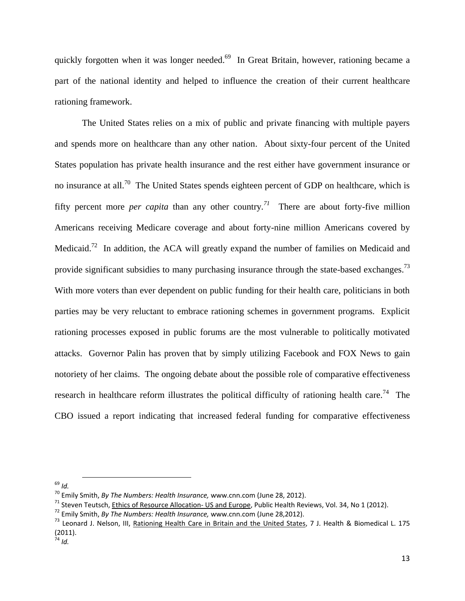quickly forgotten when it was longer needed.<sup>69</sup> In Great Britain, however, rationing became a part of the national identity and helped to influence the creation of their current healthcare rationing framework.

The United States relies on a mix of public and private financing with multiple payers and spends more on healthcare than any other nation. About sixty-four percent of the United States population has private health insurance and the rest either have government insurance or no insurance at all.<sup>70</sup> The United States spends eighteen percent of GDP on healthcare, which is fifty percent more *per capita* than any other country.<sup>71</sup> There are about forty-five million Americans receiving Medicare coverage and about forty-nine million Americans covered by Medicaid.<sup>72</sup> In addition, the ACA will greatly expand the number of families on Medicaid and provide significant subsidies to many purchasing insurance through the state-based exchanges.<sup>73</sup> With more voters than ever dependent on public funding for their health care, politicians in both parties may be very reluctant to embrace rationing schemes in government programs. Explicit rationing processes exposed in public forums are the most vulnerable to politically motivated attacks. Governor Palin has proven that by simply utilizing Facebook and FOX News to gain notoriety of her claims. The ongoing debate about the possible role of comparative effectiveness research in healthcare reform illustrates the political difficulty of rationing health care.<sup>74</sup> The CBO issued a report indicating that increased federal funding for comparative effectiveness

<sup>69</sup> *Id.*

<sup>70</sup> Emily Smith, *By The Numbers: Health Insurance,* www.cnn.com (June 28, 2012).

 $71$  Steven Teutsch, Ethics of Resource Allocation- US and Europe, Public Health Reviews, Vol. 34, No 1 (2012).

<sup>72</sup> Emily Smith, *By The Numbers: Health Insurance,* www.cnn.com (June 28,2012).

<sup>&</sup>lt;sup>73</sup> Leonard J. Nelson, III, Rationing Health Care in Britain and the United States, 7 J. Health & Biomedical L. 175 (2011).

<sup>74</sup> *Id.*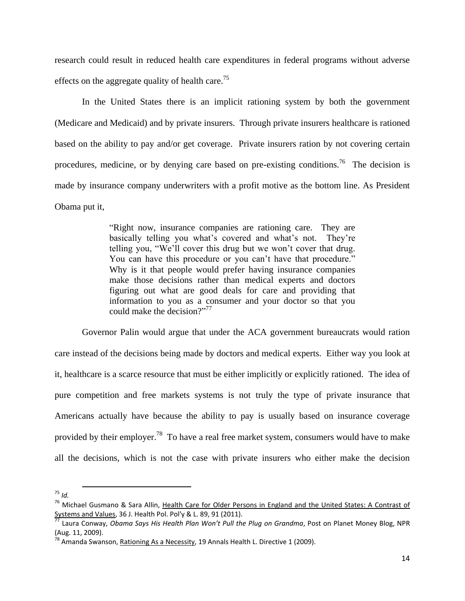research could result in reduced health care expenditures in federal programs without adverse effects on the aggregate quality of health care.<sup>75</sup>

In the United States there is an implicit rationing system by both the government (Medicare and Medicaid) and by private insurers. Through private insurers healthcare is rationed based on the ability to pay and/or get coverage. Private insurers ration by not covering certain procedures, medicine, or by denying care based on pre-existing conditions.<sup>76</sup> The decision is made by insurance company underwriters with a profit motive as the bottom line. As President Obama put it,

> "Right now, insurance companies are rationing care. They are basically telling you what's covered and what's not. They're telling you, "We'll cover this drug but we won't cover that drug. You can have this procedure or you can't have that procedure." Why is it that people would prefer having insurance companies make those decisions rather than medical experts and doctors figuring out what are good deals for care and providing that information to you as a consumer and your doctor so that you could make the decision?" 77

Governor Palin would argue that under the ACA government bureaucrats would ration care instead of the decisions being made by doctors and medical experts. Either way you look at it, healthcare is a scarce resource that must be either implicitly or explicitly rationed. The idea of pure competition and free markets systems is not truly the type of private insurance that Americans actually have because the ability to pay is usually based on insurance coverage provided by their employer.<sup>78</sup> To have a real free market system, consumers would have to make all the decisions, which is not the case with private insurers who either make the decision

l

<sup>75</sup> *Id.*

<sup>&</sup>lt;sup>76</sup> Michael Gusmano & Sara Allin, Health Care for Older Persons in England and the United States: A Contrast of Systems and Values, 36 J. Health Pol. Pol'y & L. 89, 91 (2011).

<sup>77</sup> Laura Conway, *Obama Says His Health Plan Won't Pull the Plug on Grandma*, Post on Planet Money Blog, NPR (Aug. 11, 2009).

<sup>&</sup>lt;sup>78</sup> Amanda Swanson, <u>Rationing As a Necessity</u>, 19 Annals Health L. Directive 1 (2009).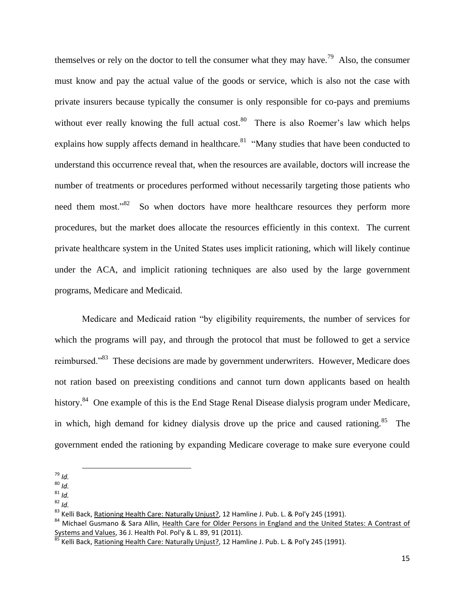themselves or rely on the doctor to tell the consumer what they may have.<sup>79</sup> Also, the consumer must know and pay the actual value of the goods or service, which is also not the case with private insurers because typically the consumer is only responsible for co-pays and premiums without ever really knowing the full actual cost.<sup>80</sup> There is also Roemer's law which helps explains how supply affects demand in healthcare.<sup>81</sup> "Many studies that have been conducted to understand this occurrence reveal that, when the resources are available, doctors will increase the number of treatments or procedures performed without necessarily targeting those patients who need them most."<sup>82</sup> So when doctors have more healthcare resources they perform more procedures, but the market does allocate the resources efficiently in this context. The current private healthcare system in the United States uses implicit rationing, which will likely continue under the ACA, and implicit rationing techniques are also used by the large government programs, Medicare and Medicaid.

Medicare and Medicaid ration "by eligibility requirements, the number of services for which the programs will pay, and through the protocol that must be followed to get a service reimbursed."<sup>83</sup> These decisions are made by government underwriters. However, Medicare does not ration based on preexisting conditions and cannot turn down applicants based on health history.<sup>84</sup> One example of this is the End Stage Renal Disease dialysis program under Medicare, in which, high demand for kidney dialysis drove up the price and caused rationing.<sup>85</sup> The government ended the rationing by expanding Medicare coverage to make sure everyone could

 $\overline{a}$ 

<sup>82</sup> *Id.*

<sup>79</sup> *Id.*

<sup>80</sup> *Id.*

<sup>81</sup> *Id.*

<sup>&</sup>lt;sup>83</sup> Kelli Back, Rationing Health Care: Naturally Unjust?, 12 Hamline J. Pub. L. & Pol'y 245 (1991).

<sup>84</sup> Michael Gusmano & Sara Allin, Health Care for Older Persons in England and the United States: A Contrast of Systems and Values, 36 J. Health Pol. Pol'y & L. 89, 91 (2011).

<sup>&</sup>lt;sup>85</sup> Kelli Back, <u>Rationing Health Care: Naturally Unjust?</u>, 12 Hamline J. Pub. L. & Pol'y 245 (1991).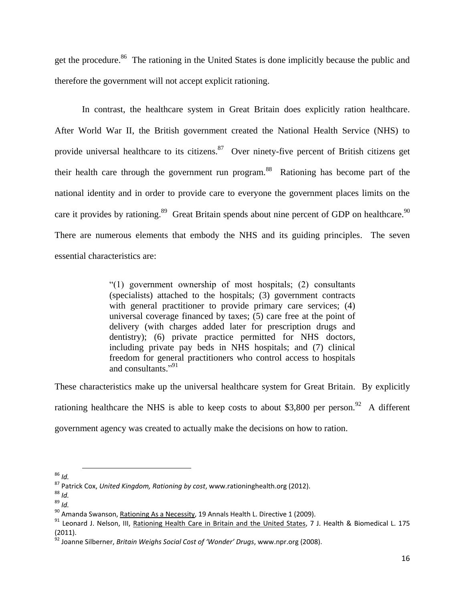get the procedure.<sup>86</sup> The rationing in the United States is done implicitly because the public and therefore the government will not accept explicit rationing.

In contrast, the healthcare system in Great Britain does explicitly ration healthcare. After World War II, the British government created the National Health Service (NHS) to provide universal healthcare to its citizens.<sup>87</sup> Over ninety-five percent of British citizens get their health care through the government run program.<sup>88</sup> Rationing has become part of the national identity and in order to provide care to everyone the government places limits on the care it provides by rationing.<sup>89</sup> Great Britain spends about nine percent of GDP on healthcare.<sup>90</sup> There are numerous elements that embody the NHS and its guiding principles. The seven essential characteristics are:

> "(1) government ownership of most hospitals; (2) consultants (specialists) attached to the hospitals; (3) government contracts with general practitioner to provide primary care services; (4) universal coverage financed by taxes; (5) care free at the point of delivery (with charges added later for prescription drugs and dentistry); (6) private practice permitted for NHS doctors, including private pay beds in NHS hospitals; and (7) clinical freedom for general practitioners who control access to hospitals and consultants." 91

These characteristics make up the universal healthcare system for Great Britain. By explicitly rationing healthcare the NHS is able to keep costs to about \$3,800 per person.<sup>92</sup> A different government agency was created to actually make the decisions on how to ration.

 $\overline{a}$ 

<sup>86</sup> *Id.*

<sup>87</sup> Patrick Cox, *United Kingdom, Rationing by cost*, www.rationinghealth.org (2012).

<sup>88</sup> *Id.*

<sup>89</sup> *Id.*

<sup>&</sup>lt;sup>90</sup> Amanda Swanson, Rationing As a Necessity, 19 Annals Health L. Directive 1 (2009).

<sup>91</sup> Leonard J. Nelson, III, Rationing Health Care in Britain and the United States, 7 J. Health & Biomedical L. 175 (2011).

<sup>92</sup> Joanne Silberner, *Britain Weighs Social Cost of 'Wonder' Drugs*, www.npr.org (2008).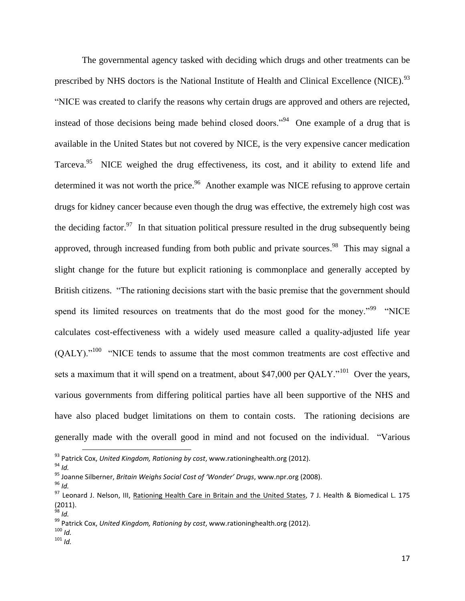The governmental agency tasked with deciding which drugs and other treatments can be prescribed by NHS doctors is the National Institute of Health and Clinical Excellence (NICE).<sup>93</sup> "NICE was created to clarify the reasons why certain drugs are approved and others are rejected, instead of those decisions being made behind closed doors."<sup>94</sup> One example of a drug that is available in the United States but not covered by NICE, is the very expensive cancer medication Tarceva.<sup>95</sup> NICE weighed the drug effectiveness, its cost, and it ability to extend life and determined it was not worth the price.<sup>96</sup> Another example was NICE refusing to approve certain drugs for kidney cancer because even though the drug was effective, the extremely high cost was the deciding factor.<sup>97</sup> In that situation political pressure resulted in the drug subsequently being approved, through increased funding from both public and private sources.<sup>98</sup> This may signal a slight change for the future but explicit rationing is commonplace and generally accepted by British citizens. "The rationing decisions start with the basic premise that the government should spend its limited resources on treatments that do the most good for the money."<sup>99</sup> "NICE calculates cost-effectiveness with a widely used measure called a quality-adjusted life year  $(QALY)$ ."<sup>100</sup> "NICE tends to assume that the most common treatments are cost effective and sets a maximum that it will spend on a treatment, about \$47,000 per  $QALY$ ."<sup>101</sup> Over the years, various governments from differing political parties have all been supportive of the NHS and have also placed budget limitations on them to contain costs. The rationing decisions are generally made with the overall good in mind and not focused on the individual. "Various

<sup>94</sup> *Id.*

 $\overline{\phantom{a}}$ 

<sup>96</sup> *Id.*

<sup>100</sup> *Id.* <sup>101</sup> *Id.*

<sup>93</sup> Patrick Cox, *United Kingdom, Rationing by cost*, www.rationinghealth.org (2012).

<sup>95</sup> Joanne Silberner, *Britain Weighs Social Cost of 'Wonder' Drugs*, www.npr.org (2008).

<sup>97</sup> Leonard J. Nelson, III, Rationing Health Care in Britain and the United States, 7 J. Health & Biomedical L. 175 (2011). <sup>98</sup> *Id.*

<sup>99</sup> Patrick Cox, *United Kingdom, Rationing by cost*, www.rationinghealth.org (2012).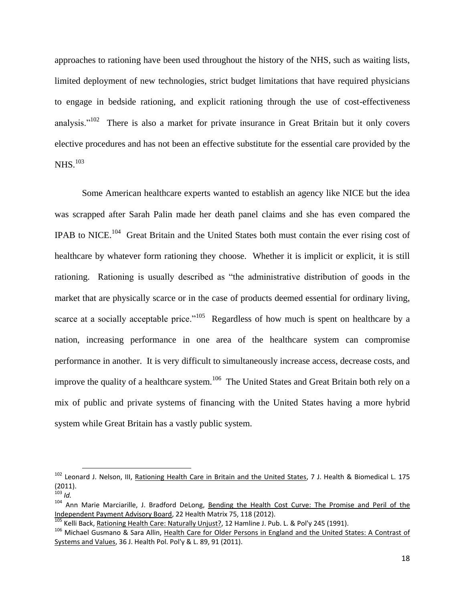approaches to rationing have been used throughout the history of the NHS, such as waiting lists, limited deployment of new technologies, strict budget limitations that have required physicians to engage in bedside rationing, and explicit rationing through the use of cost-effectiveness analysis."<sup>102</sup> There is also a market for private insurance in Great Britain but it only covers elective procedures and has not been an effective substitute for the essential care provided by the NHS.<sup>103</sup>

Some American healthcare experts wanted to establish an agency like NICE but the idea was scrapped after Sarah Palin made her death panel claims and she has even compared the IPAB to NICE.<sup>104</sup> Great Britain and the United States both must contain the ever rising cost of healthcare by whatever form rationing they choose. Whether it is implicit or explicit, it is still rationing. Rationing is usually described as "the administrative distribution of goods in the market that are physically scarce or in the case of products deemed essential for ordinary living, scarce at a socially acceptable price."<sup>105</sup> Regardless of how much is spent on healthcare by a nation, increasing performance in one area of the healthcare system can compromise performance in another. It is very difficult to simultaneously increase access, decrease costs, and improve the quality of a healthcare system.<sup>106</sup> The United States and Great Britain both rely on a mix of public and private systems of financing with the United States having a more hybrid system while Great Britain has a vastly public system.

 $\overline{a}$ 

<sup>&</sup>lt;sup>102</sup> Leonard J. Nelson, III, Rationing Health Care in Britain and the United States, 7 J. Health & Biomedical L. 175 (2011).

<sup>103</sup> *Id.*

<sup>&</sup>lt;sup>104</sup> Ann Marie Marciarille, J. Bradford DeLong, Bending the Health Cost Curve: The Promise and Peril of the Independent Payment Advisory Board, 22 Health Matrix 75, 118 (2012).

<sup>105</sup> Kelli Back, Rationing Health Care: Naturally Unjust?, 12 Hamline J. Pub. L. & Pol'y 245 (1991).

<sup>106</sup> Michael Gusmano & Sara Allin, Health Care for Older Persons in England and the United States: A Contrast of Systems and Values, 36 J. Health Pol. Pol'y & L. 89, 91 (2011).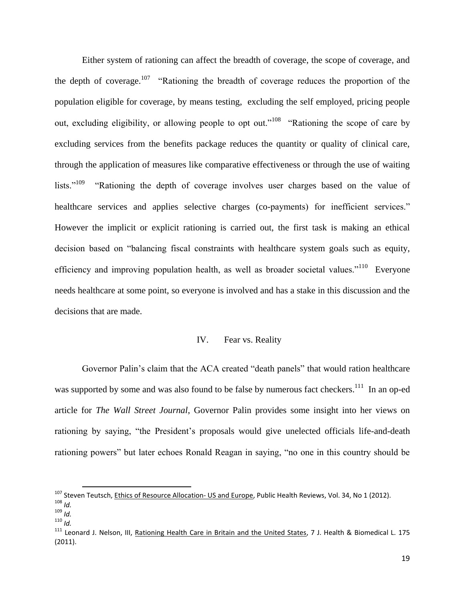Either system of rationing can affect the breadth of coverage, the scope of coverage, and the depth of coverage.<sup>107</sup> "Rationing the breadth of coverage reduces the proportion of the population eligible for coverage, by means testing, excluding the self employed, pricing people out, excluding eligibility, or allowing people to opt out."<sup>108</sup> "Rationing the scope of care by excluding services from the benefits package reduces the quantity or quality of clinical care, through the application of measures like comparative effectiveness or through the use of waiting lists."<sup>109</sup> "Rationing the depth of coverage involves user charges based on the value of healthcare services and applies selective charges (co-payments) for inefficient services." However the implicit or explicit rationing is carried out, the first task is making an ethical decision based on "balancing fiscal constraints with healthcare system goals such as equity, efficiency and improving population health, as well as broader societal values."<sup>110</sup> Everyone needs healthcare at some point, so everyone is involved and has a stake in this discussion and the decisions that are made.

# IV. Fear vs. Reality

Governor Palin's claim that the ACA created "death panels" that would ration healthcare was supported by some and was also found to be false by numerous fact checkers.<sup>111</sup> In an op-ed article for *The Wall Street Journal*, Governor Palin provides some insight into her views on rationing by saying, "the President's proposals would give unelected officials life-and-death rationing powers" but later echoes Ronald Reagan in saying, "no one in this country should be

l

<sup>&</sup>lt;sup>107</sup> Steven Teutsch, Ethics of Resource Allocation- US and Europe, Public Health Reviews, Vol. 34, No 1 (2012).

<sup>108</sup> *Id.*

<sup>109</sup> *Id.*

<sup>110</sup> *Id.*

<sup>&</sup>lt;sup>111</sup> Leonard J. Nelson, III, Rationing Health Care in Britain and the United States, 7 J. Health & Biomedical L. 175 (2011).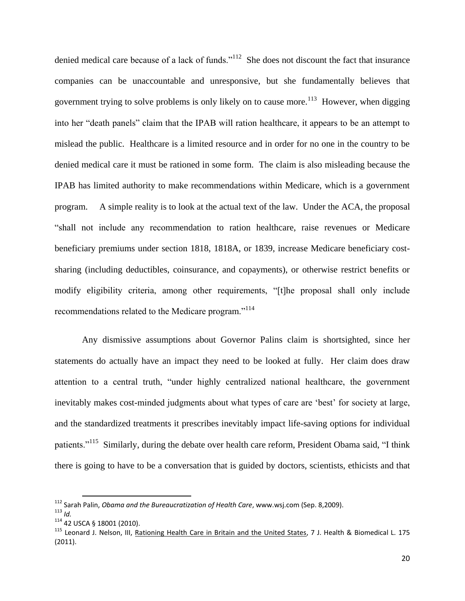denied medical care because of a lack of funds."<sup>112</sup> She does not discount the fact that insurance companies can be unaccountable and unresponsive, but she fundamentally believes that government trying to solve problems is only likely on to cause more.<sup>113</sup> However, when digging into her "death panels" claim that the IPAB will ration healthcare, it appears to be an attempt to mislead the public. Healthcare is a limited resource and in order for no one in the country to be denied medical care it must be rationed in some form. The claim is also misleading because the IPAB has limited authority to make recommendations within Medicare, which is a government program. A simple reality is to look at the actual text of the law. Under the ACA, the proposal "shall not include any recommendation to ration healthcare, raise revenues or Medicare beneficiary premiums under section 1818, 1818A, or 1839, increase Medicare beneficiary costsharing (including deductibles, coinsurance, and copayments), or otherwise restrict benefits or modify eligibility criteria, among other requirements, "[t]he proposal shall only include recommendations related to the Medicare program."<sup>114</sup>

Any dismissive assumptions about Governor Palins claim is shortsighted, since her statements do actually have an impact they need to be looked at fully. Her claim does draw attention to a central truth, "under highly centralized national healthcare, the government inevitably makes cost-minded judgments about what types of care are 'best' for society at large, and the standardized treatments it prescribes inevitably impact life-saving options for individual patients."<sup>115</sup> Similarly, during the debate over health care reform, President Obama said, "I think there is going to have to be a conversation that is guided by doctors, scientists, ethicists and that

<sup>112</sup> Sarah Palin, *Obama and the Bureaucratization of Health Care*, www.wsj.com (Sep. 8,2009).

<sup>113</sup> *Id.*

<sup>114</sup> 42 USCA § 18001 (2010).

<sup>&</sup>lt;sup>115</sup> Leonard J. Nelson, III, Rationing Health Care in Britain and the United States, 7 J. Health & Biomedical L. 175 (2011).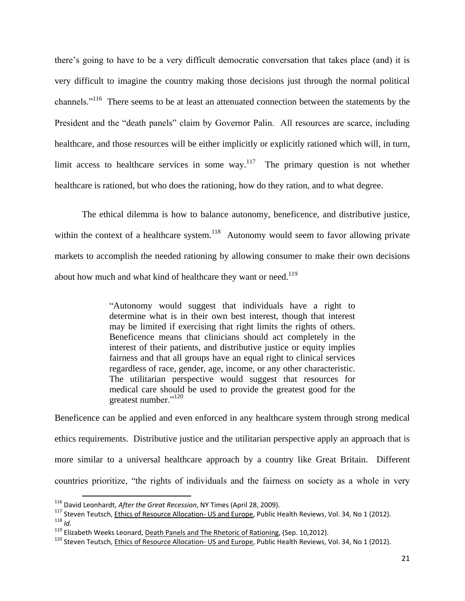there's going to have to be a very difficult democratic conversation that takes place (and) it is very difficult to imagine the country making those decisions just through the normal political channels."<sup>116</sup> There seems to be at least an attenuated connection between the statements by the President and the "death panels" claim by Governor Palin. All resources are scarce, including healthcare, and those resources will be either implicitly or explicitly rationed which will, in turn, limit access to healthcare services in some way.<sup>117</sup> The primary question is not whether healthcare is rationed, but who does the rationing, how do they ration, and to what degree.

The ethical dilemma is how to balance autonomy, beneficence, and distributive justice, within the context of a healthcare system.<sup>118</sup> Autonomy would seem to favor allowing private markets to accomplish the needed rationing by allowing consumer to make their own decisions about how much and what kind of healthcare they want or need.<sup>119</sup>

> "Autonomy would suggest that individuals have a right to determine what is in their own best interest, though that interest may be limited if exercising that right limits the rights of others. Beneficence means that clinicians should act completely in the interest of their patients, and distributive justice or equity implies fairness and that all groups have an equal right to clinical services regardless of race, gender, age, income, or any other characteristic. The utilitarian perspective would suggest that resources for medical care should be used to provide the greatest good for the greatest number."<sup>120</sup>

Beneficence can be applied and even enforced in any healthcare system through strong medical ethics requirements. Distributive justice and the utilitarian perspective apply an approach that is more similar to a universal healthcare approach by a country like Great Britain. Different countries prioritize, "the rights of individuals and the fairness on society as a whole in very

<sup>116</sup> David Leonhardt, *After the Great Recession*, NY Times (April 28, 2009).

<sup>&</sup>lt;sup>117</sup> Steven Teutsch, Ethics of Resource Allocation- US and Europe, Public Health Reviews, Vol. 34, No 1 (2012). <sup>118</sup> *Id.*

<sup>&</sup>lt;sup>119</sup> Elizabeth Weeks Leonard, Death Panels and The Rhetoric of Rationing, (Sep. 10,2012).

<sup>&</sup>lt;sup>120</sup> Steven Teutsch, Ethics of Resource Allocation- US and Europe, Public Health Reviews, Vol. 34, No 1 (2012).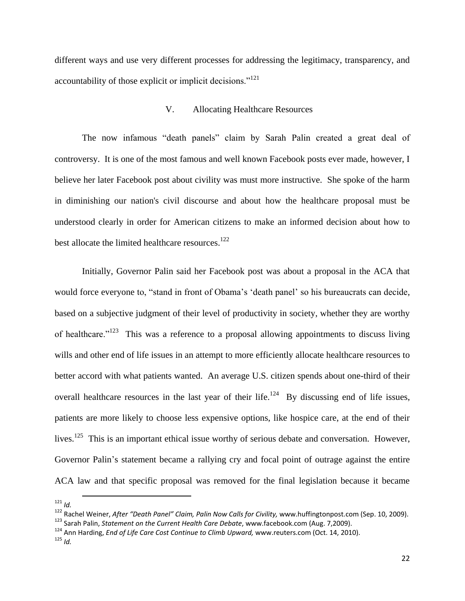different ways and use very different processes for addressing the legitimacy, transparency, and accountability of those explicit or implicit decisions."<sup>121</sup>

## V. Allocating Healthcare Resources

The now infamous "death panels" claim by Sarah Palin created a great deal of controversy. It is one of the most famous and well known Facebook posts ever made, however, I believe her later Facebook post about civility was must more instructive. She spoke of the harm in diminishing our nation's civil discourse and about how the healthcare proposal must be understood clearly in order for American citizens to make an informed decision about how to best allocate the limited healthcare resources.<sup>122</sup>

Initially, Governor Palin said her Facebook post was about a proposal in the ACA that would force everyone to, "stand in front of Obama's 'death panel' so his bureaucrats can decide, based on a subjective judgment of their level of productivity in society, whether they are worthy of healthcare."<sup>123</sup> This was a reference to a proposal allowing appointments to discuss living wills and other end of life issues in an attempt to more efficiently allocate healthcare resources to better accord with what patients wanted. An average U.S. citizen spends about one-third of their overall healthcare resources in the last year of their life.<sup>124</sup> By discussing end of life issues, patients are more likely to choose less expensive options, like hospice care, at the end of their lives.<sup>125</sup> This is an important ethical issue worthy of serious debate and conversation. However, Governor Palin's statement became a rallying cry and focal point of outrage against the entire ACA law and that specific proposal was removed for the final legislation because it became

 $121$  *Id.* 

<sup>122</sup> Rachel Weiner, *After "Death Panel" Claim, Palin Now Calls for Civility,* www.huffingtonpost.com (Sep. 10, 2009).

<sup>123</sup> Sarah Palin, *Statement on the Current Health Care Debate*, www.facebook.com (Aug. 7,2009).

<sup>124</sup> Ann Harding, *End of Life Care Cost Continue to Climb Upward,* www.reuters.com (Oct. 14, 2010).

<sup>125</sup> *Id.*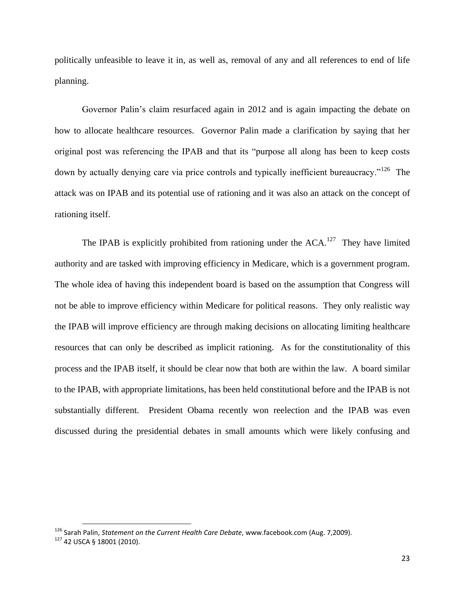politically unfeasible to leave it in, as well as, removal of any and all references to end of life planning.

Governor Palin's claim resurfaced again in 2012 and is again impacting the debate on how to allocate healthcare resources. Governor Palin made a clarification by saying that her original post was referencing the IPAB and that its "purpose all along has been to keep costs down by actually denying care via price controls and typically inefficient bureaucracy."<sup>126</sup> The attack was on IPAB and its potential use of rationing and it was also an attack on the concept of rationing itself.

The IPAB is explicitly prohibited from rationing under the  $ACA$ .<sup>127</sup> They have limited authority and are tasked with improving efficiency in Medicare, which is a government program. The whole idea of having this independent board is based on the assumption that Congress will not be able to improve efficiency within Medicare for political reasons. They only realistic way the IPAB will improve efficiency are through making decisions on allocating limiting healthcare resources that can only be described as implicit rationing. As for the constitutionality of this process and the IPAB itself, it should be clear now that both are within the law. A board similar to the IPAB, with appropriate limitations, has been held constitutional before and the IPAB is not substantially different. President Obama recently won reelection and the IPAB was even discussed during the presidential debates in small amounts which were likely confusing and

<sup>126</sup> Sarah Palin, *Statement on the Current Health Care Debate*, www.facebook.com (Aug. 7,2009).

<sup>127</sup> 42 USCA § 18001 (2010).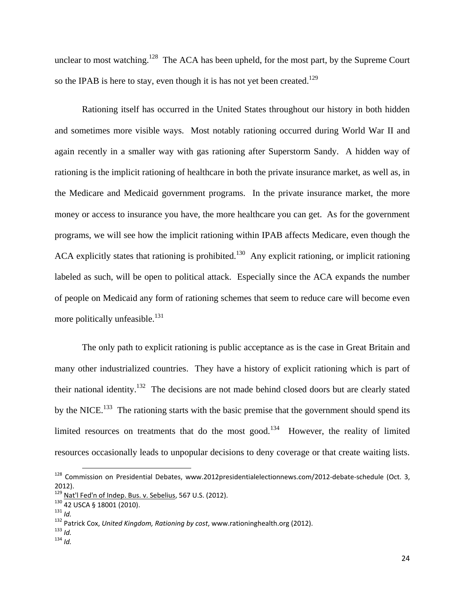unclear to most watching.<sup>128</sup> The ACA has been upheld, for the most part, by the Supreme Court so the IPAB is here to stay, even though it is has not yet been created.<sup>129</sup>

Rationing itself has occurred in the United States throughout our history in both hidden and sometimes more visible ways. Most notably rationing occurred during World War II and again recently in a smaller way with gas rationing after Superstorm Sandy. A hidden way of rationing is the implicit rationing of healthcare in both the private insurance market, as well as, in the Medicare and Medicaid government programs. In the private insurance market, the more money or access to insurance you have, the more healthcare you can get. As for the government programs, we will see how the implicit rationing within IPAB affects Medicare, even though the ACA explicitly states that rationing is prohibited.<sup>130</sup> Any explicit rationing, or implicit rationing labeled as such, will be open to political attack. Especially since the ACA expands the number of people on Medicaid any form of rationing schemes that seem to reduce care will become even more politically unfeasible. $^{131}$ 

The only path to explicit rationing is public acceptance as is the case in Great Britain and many other industrialized countries. They have a history of explicit rationing which is part of their national identity.<sup>132</sup> The decisions are not made behind closed doors but are clearly stated by the NICE.<sup>133</sup> The rationing starts with the basic premise that the government should spend its limited resources on treatments that do the most good.<sup>134</sup> However, the reality of limited resources occasionally leads to unpopular decisions to deny coverage or that create waiting lists.

 $\overline{a}$ 

<sup>133</sup> *Id.*

<sup>&</sup>lt;sup>128</sup> Commission on Presidential Debates, www.2012presidentialelectionnews.com/2012-debate-schedule (Oct. 3,  $2012$ ).

Nat'l Fed'n of Indep. Bus. v. Sebelius, 567 U.S. (2012).

<sup>130 42</sup> USCA § 18001 (2010).

<sup>131</sup> *Id.*

<sup>132</sup> Patrick Cox, *United Kingdom, Rationing by cost*, www.rationinghealth.org (2012).

<sup>134</sup> *Id.*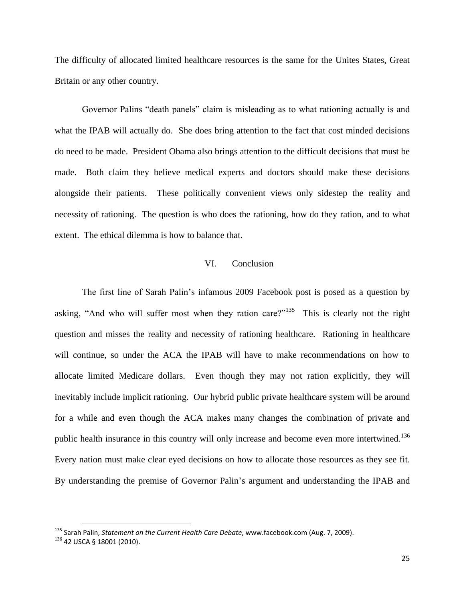The difficulty of allocated limited healthcare resources is the same for the Unites States, Great Britain or any other country.

Governor Palins "death panels" claim is misleading as to what rationing actually is and what the IPAB will actually do. She does bring attention to the fact that cost minded decisions do need to be made. President Obama also brings attention to the difficult decisions that must be made. Both claim they believe medical experts and doctors should make these decisions alongside their patients. These politically convenient views only sidestep the reality and necessity of rationing. The question is who does the rationing, how do they ration, and to what extent. The ethical dilemma is how to balance that.

## VI. Conclusion

The first line of Sarah Palin's infamous 2009 Facebook post is posed as a question by asking, "And who will suffer most when they ration care?"<sup>135</sup> This is clearly not the right question and misses the reality and necessity of rationing healthcare. Rationing in healthcare will continue, so under the ACA the IPAB will have to make recommendations on how to allocate limited Medicare dollars. Even though they may not ration explicitly, they will inevitably include implicit rationing. Our hybrid public private healthcare system will be around for a while and even though the ACA makes many changes the combination of private and public health insurance in this country will only increase and become even more intertwined.<sup>136</sup> Every nation must make clear eyed decisions on how to allocate those resources as they see fit. By understanding the premise of Governor Palin's argument and understanding the IPAB and

<sup>135</sup> Sarah Palin, *Statement on the Current Health Care Debate*, www.facebook.com (Aug. 7, 2009).

<sup>136 42</sup> USCA § 18001 (2010).